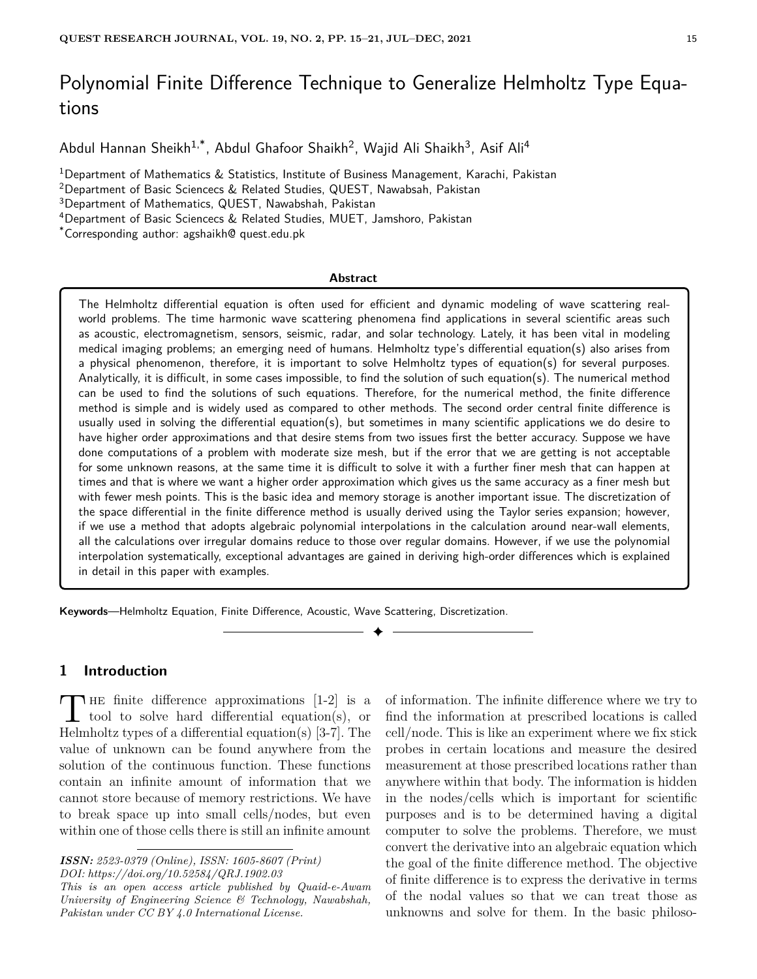# Polynomial Finite Difference Technique to Generalize Helmholtz Type Equations

Abdul Hannan Sheikh<sup>1,\*</sup>, Abdul Ghafoor Shaikh<sup>2</sup>, Wajid Ali Shaikh<sup>3</sup>, Asif Ali<sup>4</sup>

<sup>1</sup>Department of Mathematics & Statistics, Institute of Business Management, Karachi, Pakistan

<sup>2</sup>Department of Basic Sciencecs & Related Studies, QUEST, Nawabsah, Pakistan

<sup>3</sup>Department of Mathematics, QUEST, Nawabshah, Pakistan

<sup>4</sup>Department of Basic Sciencecs & Related Studies, MUET, Jamshoro, Pakistan

\*Corresponding author: agshaikh@ quest.edu.pk

#### **Abstract**

The Helmholtz differential equation is often used for efficient and dynamic modeling of wave scattering realworld problems. The time harmonic wave scattering phenomena find applications in several scientific areas such as acoustic, electromagnetism, sensors, seismic, radar, and solar technology. Lately, it has been vital in modeling medical imaging problems; an emerging need of humans. Helmholtz type's differential equation(s) also arises from a physical phenomenon, therefore, it is important to solve Helmholtz types of equation(s) for several purposes. Analytically, it is difficult, in some cases impossible, to find the solution of such equation(s). The numerical method can be used to find the solutions of such equations. Therefore, for the numerical method, the finite difference method is simple and is widely used as compared to other methods. The second order central finite difference is usually used in solving the differential equation(s), but sometimes in many scientific applications we do desire to have higher order approximations and that desire stems from two issues first the better accuracy. Suppose we have done computations of a problem with moderate size mesh, but if the error that we are getting is not acceptable for some unknown reasons, at the same time it is difficult to solve it with a further finer mesh that can happen at times and that is where we want a higher order approximation which gives us the same accuracy as a finer mesh but with fewer mesh points. This is the basic idea and memory storage is another important issue. The discretization of the space differential in the finite difference method is usually derived using the Taylor series expansion; however, if we use a method that adopts algebraic polynomial interpolations in the calculation around near-wall elements, all the calculations over irregular domains reduce to those over regular domains. However, if we use the polynomial interpolation systematically, exceptional advantages are gained in deriving high-order differences which is explained in detail in this paper with examples.

✦

**Keywords**—Helmholtz Equation, Finite Difference, Acoustic, Wave Scattering, Discretization.

#### **1 Introduction**

THE finite difference approximations [1-2] is a<br>tool to solve hard differential equation(s), or<br> $\frac{17}{6}$  and  $\frac{17}{6}$  and  $\frac{17}{6}$  and  $\frac{17}{6}$  and  $\frac{17}{6}$  and  $\frac{17}{6}$  and  $\frac{17}{6}$  and  $\frac{17}{6}$  and  $\frac{1$ THE finite difference approximations  $[1-2]$  is a Helmholtz types of a differential equation(s)  $[3-7]$ . The value of unknown can be found anywhere from the solution of the continuous function. These functions contain an infinite amount of information that we cannot store because of memory restrictions. We have to break space up into small cells/nodes, but even within one of those cells there is still an infinite amount

*This is an open access article published by Quaid-e-Awam University of Engineering Science & Technology, Nawabshah, Pakistan under CC BY 4.0 International License.*

of information. The infinite difference where we try to find the information at prescribed locations is called cell/node. This is like an experiment where we fix stick probes in certain locations and measure the desired measurement at those prescribed locations rather than anywhere within that body. The information is hidden in the nodes/cells which is important for scientific purposes and is to be determined having a digital computer to solve the problems. Therefore, we must convert the derivative into an algebraic equation which the goal of the finite difference method. The objective of finite difference is to express the derivative in terms of the nodal values so that we can treat those as unknowns and solve for them. In the basic philoso-

*ISSN: 2523-0379 (Online), ISSN: 1605-8607 (Print) DOI: https://doi.org/10.52584/QRJ.1902.03*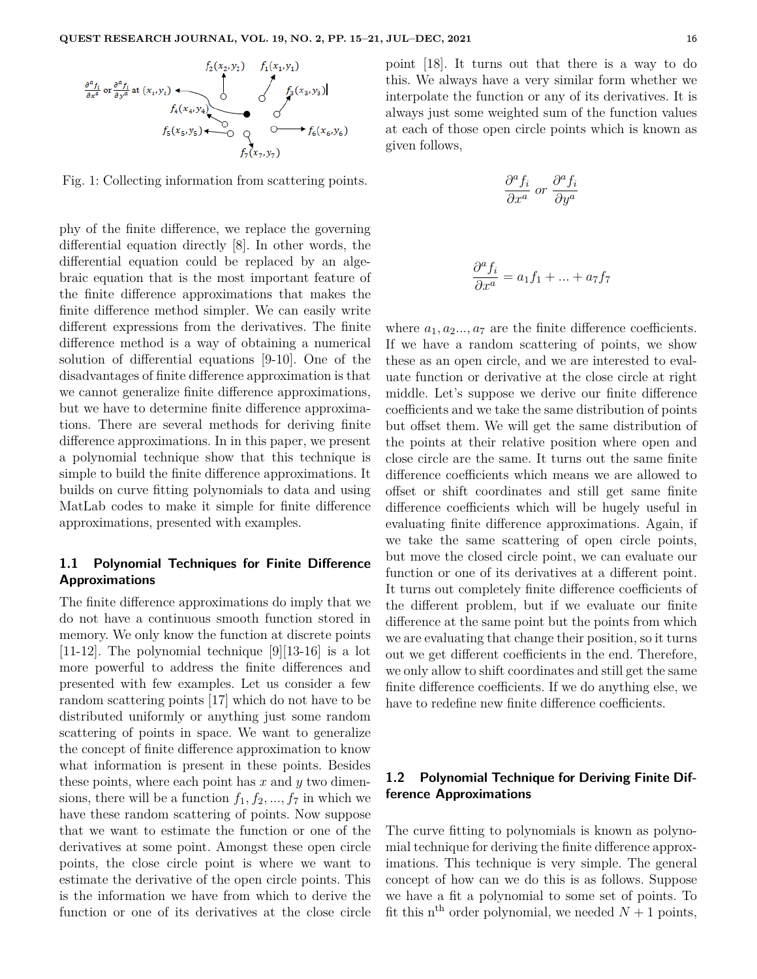

Fig. 1: Collecting information from scattering points.

phy of the finite difference, we replace the governing differential equation directly [8]. In other words, the differential equation could be replaced by an algebraic equation that is the most important feature of the finite difference approximations that makes the finite difference method simpler. We can easily write different expressions from the derivatives. The finite difference method is a way of obtaining a numerical solution of differential equations [9-10]. One of the disadvantages of finite difference approximation is that we cannot generalize finite difference approximations, but we have to determine finite difference approximations. There are several methods for deriving finite difference approximations. In in this paper, we present a polynomial technique show that this technique is simple to build the finite difference approximations. It builds on curve fitting polynomials to data and using MatLab codes to make it simple for finite difference approximations, presented with examples.

## **1.1 Polynomial Techniques for Finite Difference Approximations**

The finite difference approximations do imply that we do not have a continuous smooth function stored in memory. We only know the function at discrete points [11-12]. The polynomial technique  $[9][13-16]$  is a lot more powerful to address the finite differences and presented with few examples. Let us consider a few random scattering points [17] which do not have to be distributed uniformly or anything just some random scattering of points in space. We want to generalize the concept of finite difference approximation to know what information is present in these points. Besides these points, where each point has *x* and *y* two dimensions, there will be a function  $f_1, f_2, ..., f_7$  in which we have these random scattering of points. Now suppose that we want to estimate the function or one of the derivatives at some point. Amongst these open circle points, the close circle point is where we want to estimate the derivative of the open circle points. This is the information we have from which to derive the function or one of its derivatives at the close circle point [18]. It turns out that there is a way to do this. We always have a very similar form whether we interpolate the function or any of its derivatives. It is always just some weighted sum of the function values at each of those open circle points which is known as given follows,

$$
\frac{\partial^a f_i}{\partial x^a} \; or \; \frac{\partial^a f_i}{\partial y^a}
$$

$$
\frac{\partial^a f_i}{\partial x^a} = a_1 f_1 + \dots + a_7 f_7
$$

where  $a_1, a_2, \ldots, a_7$  are the finite difference coefficients. If we have a random scattering of points, we show these as an open circle, and we are interested to evaluate function or derivative at the close circle at right middle. Let's suppose we derive our finite difference coefficients and we take the same distribution of points but offset them. We will get the same distribution of the points at their relative position where open and close circle are the same. It turns out the same finite difference coefficients which means we are allowed to offset or shift coordinates and still get same finite difference coefficients which will be hugely useful in evaluating finite difference approximations. Again, if we take the same scattering of open circle points, but move the closed circle point, we can evaluate our function or one of its derivatives at a different point. It turns out completely finite difference coefficients of the different problem, but if we evaluate our finite difference at the same point but the points from which we are evaluating that change their position, so it turns out we get different coefficients in the end. Therefore, we only allow to shift coordinates and still get the same finite difference coefficients. If we do anything else, we have to redefine new finite difference coefficients.

# **1.2 Polynomial Technique for Deriving Finite Difference Approximations**

The curve fitting to polynomials is known as polynomial technique for deriving the finite difference approximations. This technique is very simple. The general concept of how can we do this is as follows. Suppose we have a fit a polynomial to some set of points. To fit this n<sup>th</sup> order polynomial, we needed  $N+1$  points,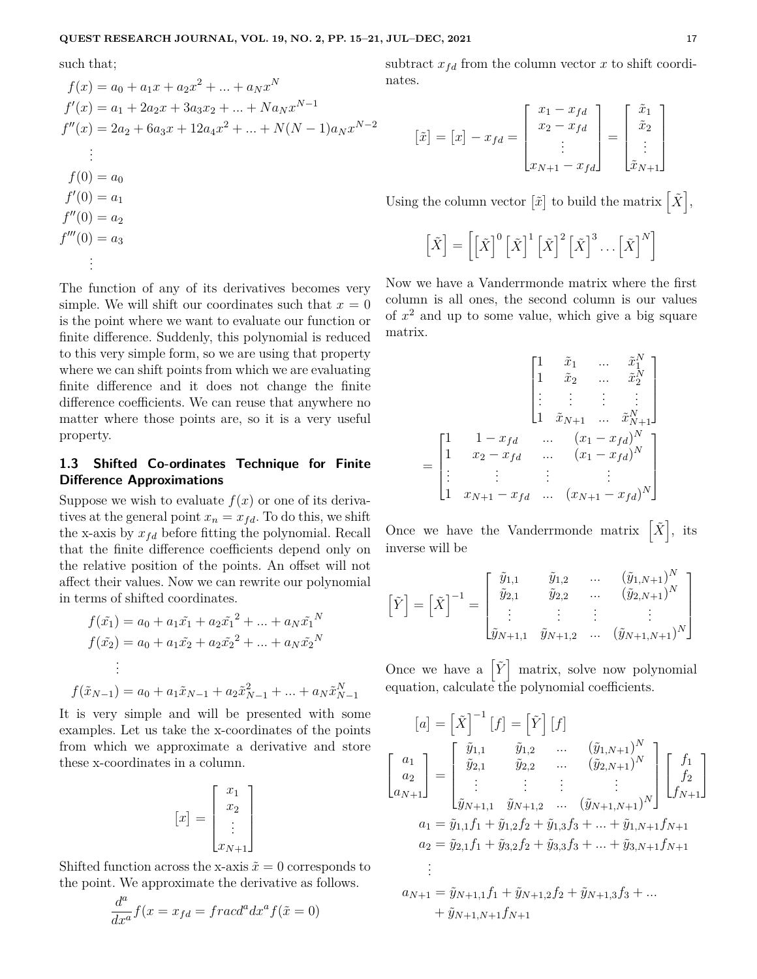such that;

$$
f(x) = a_0 + a_1x + a_2x^2 + \dots + a_Nx^N
$$
  
\n
$$
f'(x) = a_1 + 2a_2x + 3a_3x_2 + \dots + N a_Nx^{N-1}
$$
  
\n
$$
f''(x) = 2a_2 + 6a_3x + 12a_4x^2 + \dots + N(N-1)a_Nx^{N-2}
$$
  
\n
$$
\vdots
$$
  
\n
$$
f(0) = a_0
$$
  
\n
$$
f'(0) = a_1
$$
  
\n
$$
f''(0) = a_2
$$
  
\n
$$
f'''(0) = a_3
$$
  
\n
$$
\vdots
$$

The function of any of its derivatives becomes very simple. We will shift our coordinates such that  $x = 0$ is the point where we want to evaluate our function or finite difference. Suddenly, this polynomial is reduced to this very simple form, so we are using that property where we can shift points from which we are evaluating finite difference and it does not change the finite difference coefficients. We can reuse that anywhere no matter where those points are, so it is a very useful property.

## **1.3 Shifted Co-ordinates Technique for Finite Difference Approximations**

Suppose we wish to evaluate  $f(x)$  or one of its derivatives at the general point  $x_n = x_{fd}$ . To do this, we shift the x-axis by  $x_{fd}$  before fitting the polynomial. Recall that the finite difference coefficients depend only on the relative position of the points. An offset will not affect their values. Now we can rewrite our polynomial in terms of shifted coordinates.

$$
f(\tilde{x}_1) = a_0 + a_1 \tilde{x}_1 + a_2 \tilde{x}_1^2 + \dots + a_N \tilde{x}_1^N
$$
  
\n
$$
f(\tilde{x}_2) = a_0 + a_1 \tilde{x}_2 + a_2 \tilde{x}_2^2 + \dots + a_N \tilde{x}_2^N
$$
  
\n
$$
\vdots
$$
  
\n
$$
f(\tilde{x}_{N-1}) = a_0 + a_1 \tilde{x}_{N-1} + a_2 \tilde{x}_{N-1}^2 + \dots + a_N \tilde{x}_{N-1}^N
$$

It is very simple and will be presented with some examples. Let us take the x-coordinates of the points from which we approximate a derivative and store these x-coordinates in a column.

$$
[x] = \begin{bmatrix} x_1 \\ x_2 \\ \vdots \\ x_{N+1} \end{bmatrix}
$$

Shifted function across the x-axis  $\tilde{x} = 0$  corresponds to the point. We approximate the derivative as follows.

$$
\frac{d^a}{dx^a}f(x = x_{fd} = \frac{f\,racd^a\,dx^a}{f(\tilde{x} = 0)}
$$

subtract  $x_{fd}$  from the column vector  $x$  to shift coordinates.

$$
\begin{bmatrix} \tilde{x} \end{bmatrix} = \begin{bmatrix} x \end{bmatrix} - x_{fd} = \begin{bmatrix} x_1 - x_{fd} \\ x_2 - x_{fd} \\ \vdots \\ x_{N+1} - x_{fd} \end{bmatrix} = \begin{bmatrix} \tilde{x}_1 \\ \tilde{x}_2 \\ \vdots \\ \tilde{x}_{N+1} \end{bmatrix}
$$

Using the column vector  $[\tilde{x}]$  to build the matrix  $[\tilde{X}],$ 

$$
\left[\tilde{X}\right] = \left[\left[\tilde{X}\right]^0 \left[\tilde{X}\right]^1 \left[\tilde{X}\right]^2 \left[\tilde{X}\right]^3 \dots \left[\tilde{X}\right]^N\right]
$$

Now we have a Vanderrmonde matrix where the first column is all ones, the second column is our values of *x* <sup>2</sup> and up to some value, which give a big square matrix.

*N*

$$
= \begin{bmatrix} 1 & \tilde{x}_1 & \dots & \tilde{x}_1^N \\ 1 & \tilde{x}_2 & \dots & \tilde{x}_2^N \\ \vdots & \vdots & \vdots & \vdots \\ 1 & \tilde{x}_{N+1} & \dots & \tilde{x}_{N+1}^N \end{bmatrix}
$$

$$
= \begin{bmatrix} 1 & 1 - x_{fd} & \dots & (x_1 - x_{fd})^N \\ 1 & x_2 - x_{fd} & \dots & (x_1 - x_{fd})^N \\ \vdots & \vdots & \vdots & \vdots \\ 1 & x_{N+1} - x_{fd} & \dots & (x_{N+1} - x_{fd})^N \end{bmatrix}
$$

Once we have the Vanderrmonde matrix  $\left[ \tilde{X} \right]$ , its inverse will be

$$
\begin{bmatrix} \tilde{Y} \end{bmatrix} = \begin{bmatrix} \tilde{X} \end{bmatrix}^{-1} = \begin{bmatrix} \tilde{y}_{1,1} & \tilde{y}_{1,2} & \dots & (\tilde{y}_{1,N+1})^N \\ \tilde{y}_{2,1} & \tilde{y}_{2,2} & \dots & (\tilde{y}_{2,N+1})^N \\ \vdots & \vdots & \vdots & \vdots \\ \tilde{y}_{N+1,1} & \tilde{y}_{N+1,2} & \dots & (\tilde{y}_{N+1,N+1})^N \end{bmatrix}
$$

Once we have a  $\left[\tilde{Y}\right]$  matrix, solve now polynomial equation, calculate the polynomial coefficients.

$$
[a] = \begin{bmatrix} \tilde{X} \end{bmatrix}^{-1} [f] = \begin{bmatrix} \tilde{Y} \end{bmatrix} [f]
$$
  
\n
$$
\begin{bmatrix} a_1 \\ a_2 \\ a_{N+1} \end{bmatrix} = \begin{bmatrix} \tilde{y}_{1,1} & \tilde{y}_{1,2} & \dots & (\tilde{y}_{1,N+1})^N \\ \tilde{y}_{2,1} & \tilde{y}_{2,2} & \dots & (\tilde{y}_{2,N+1})^N \\ \vdots & \vdots & \vdots & \vdots \\ \tilde{y}_{N+1,1} & \tilde{y}_{N+1,2} & \dots & (\tilde{y}_{N+1,N+1})^N \end{bmatrix} \begin{bmatrix} f_1 \\ f_2 \\ f_{N+1} \end{bmatrix}
$$
  
\n
$$
a_1 = \tilde{y}_{1,1} f_1 + \tilde{y}_{1,2} f_2 + \tilde{y}_{1,3} f_3 + \dots + \tilde{y}_{1,N+1} f_{N+1}
$$
  
\n
$$
a_2 = \tilde{y}_{2,1} f_1 + \tilde{y}_{3,2} f_2 + \tilde{y}_{3,3} f_3 + \dots + \tilde{y}_{3,N+1} f_{N+1}
$$
  
\n
$$
\vdots
$$
  
\n
$$
a_{N+1} = \tilde{y}_{N+1,1} f_1 + \tilde{y}_{N+1,2} f_2 + \tilde{y}_{N+1,3} f_3 + \dots
$$
  
\n
$$
+ \tilde{y}_{N+1,N+1} f_{N+1}
$$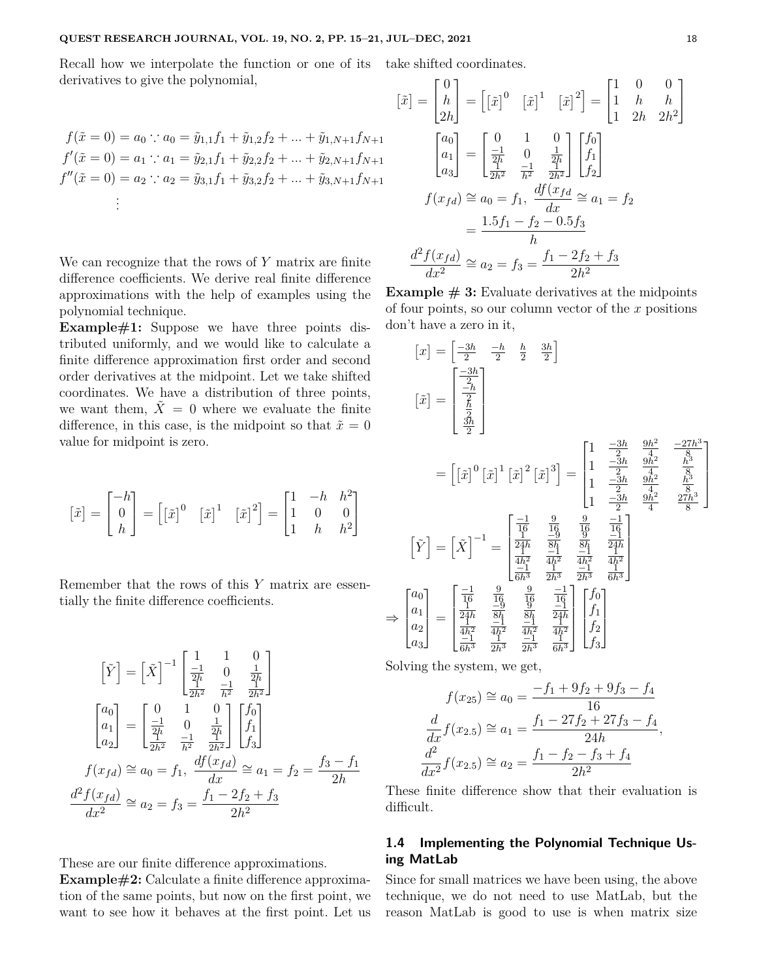Recall how we interpolate the function or one of its take shifted coordinates. derivatives to give the polynomial,

$$
f(\tilde{x} = 0) = a_0 \therefore a_0 = \tilde{y}_{1,1}f_1 + \tilde{y}_{1,2}f_2 + \dots + \tilde{y}_{1,N+1}f_{N+1}
$$
  
\n
$$
f'(\tilde{x} = 0) = a_1 \therefore a_1 = \tilde{y}_{2,1}f_1 + \tilde{y}_{2,2}f_2 + \dots + \tilde{y}_{2,N+1}f_{N+1}
$$
  
\n
$$
f''(\tilde{x} = 0) = a_2 \therefore a_2 = \tilde{y}_{3,1}f_1 + \tilde{y}_{3,2}f_2 + \dots + \tilde{y}_{3,N+1}f_{N+1}
$$
  
\n
$$
\vdots
$$

We can recognize that the rows of *Y* matrix are finite difference coefficients. We derive real finite difference approximations with the help of examples using the polynomial technique.

**Example#1:** Suppose we have three points distributed uniformly, and we would like to calculate a finite difference approximation first order and second order derivatives at the midpoint. Let we take shifted coordinates. We have a distribution of three points, we want them,  $\tilde{X} = 0$  where we evaluate the finite difference, in this case, is the midpoint so that  $\tilde{x} = 0$ value for midpoint is zero.

$$
\begin{bmatrix} \tilde{x} \end{bmatrix} = \begin{bmatrix} -h \\ 0 \\ h \end{bmatrix} = \begin{bmatrix} \begin{bmatrix} \tilde{x} \end{bmatrix}^0 & \begin{bmatrix} \tilde{x} \end{bmatrix}^1 & \begin{bmatrix} \tilde{x} \end{bmatrix}^2 \end{bmatrix} = \begin{bmatrix} 1 & -h & h^2 \\ 1 & 0 & 0 \\ 1 & h & h^2 \end{bmatrix}
$$

Remember that the rows of this *Y* matrix are essentially the finite difference coefficients.

$$
\begin{bmatrix} \tilde{Y} \end{bmatrix} = \begin{bmatrix} \tilde{X} \end{bmatrix}^{-1} \begin{bmatrix} 1 & 1 & 0 \\ \frac{-1}{2h} & 0 & \frac{1}{2h} \\ \frac{-1}{2h^2} & \frac{-1}{h^2} & \frac{1}{2h^2} \end{bmatrix}
$$

$$
\begin{bmatrix} a_0 \\ a_1 \\ a_2 \end{bmatrix} = \begin{bmatrix} 0 & 1 & 0 \\ \frac{-1}{2h} & 0 & \frac{1}{2h} \\ \frac{-1}{2h^2} & \frac{-1}{h^2} & \frac{1}{2h^2} \end{bmatrix} \begin{bmatrix} f_0 \\ f_1 \\ f_3 \end{bmatrix}
$$

$$
f(x_{fd}) \cong a_0 = f_1, \ \frac{df(x_{fd})}{dx} \cong a_1 = f_2 = \frac{f_3 - f_1}{2h}
$$

$$
\frac{d^2f(x_{fd})}{dx^2} \cong a_2 = f_3 = \frac{f_1 - 2f_2 + f_3}{2h^2}
$$

These are our finite difference approximations.

**Example#2:** Calculate a finite difference approximation of the same points, but now on the first point, we want to see how it behaves at the first point. Let us

$$
\begin{aligned}\n[\tilde{x}] &= \begin{bmatrix} 0 \\ h \\ 2h \end{bmatrix} = \begin{bmatrix} [\tilde{x}]^0 & [\tilde{x}]^1 & [\tilde{x}]^2 \end{bmatrix} = \begin{bmatrix} 1 & 0 & 0 \\ 1 & h & h \\ 1 & 2h & 2h^2 \end{bmatrix} \\
\begin{bmatrix} a_0 \\ a_1 \\ a_3 \end{bmatrix} &= \begin{bmatrix} 0 & 1 & 0 \\ \frac{-1}{2h} & 0 & \frac{1}{2h} \\ \frac{-1}{2h^2} & \frac{-1}{h^2} & \frac{1}{2h^2} \end{bmatrix} \begin{bmatrix} f_0 \\ f_1 \\ f_2 \end{bmatrix} \\
f(x_{fd}) &\cong a_0 = f_1, \quad \frac{df(x_{fd}}{dx} \cong a_1 = f_2 \\
&= \frac{1.5f_1 - f_2 - 0.5f_3}{h} \\
\frac{d^2f(x_{fd})}{dx^2} &\cong a_2 = f_3 = \frac{f_1 - 2f_2 + f_3}{2h^2}\n\end{aligned}
$$

**Example**  $# 3$ **:** Evaluate derivatives at the midpoints of four points, so our column vector of the *x* positions don't have a zero in it,

$$
\begin{aligned}\n\begin{bmatrix} x \end{bmatrix} &= \begin{bmatrix} \frac{-3h}{2} & \frac{-h}{2} & \frac{h}{2} & \frac{3h}{2} \end{bmatrix} \\
\begin{bmatrix} \tilde{x} \end{bmatrix} &= \begin{bmatrix} \frac{-3h}{2} \\ \frac{h}{2} \\ \frac{3h}{2} \end{bmatrix} \\
\begin{bmatrix} \tilde{x} \end{bmatrix} &= \begin{bmatrix} \frac{-3h}{2} \\ \frac{h}{2} \\ \frac{3h}{2} \end{bmatrix} \\
&= \begin{bmatrix} \begin{bmatrix} \tilde{x} \end{bmatrix}^0 \begin{bmatrix} \tilde{x} \end{bmatrix}^1 \begin{bmatrix} \tilde{x} \end{bmatrix}^2 \begin{bmatrix} \tilde{x} \end{bmatrix}^3 \end{bmatrix} = \begin{bmatrix} 1 & \frac{-3h}{2} & \frac{9h^2}{4} & \frac{-27h^3}{8} \\ 1 & \frac{-3h}{2} & \frac{9h^2}{4} & \frac{h^3}{8} \\ 1 & \frac{-3h}{2} & \frac{9h^2}{4} & \frac{h^3}{8} \\ 1 & \frac{-3h}{2} & \frac{9h^2}{4} & \frac{h^3}{8} \end{bmatrix} \\
\begin{bmatrix} \tilde{Y} \end{bmatrix} &= \begin{bmatrix} \tilde{X} \end{bmatrix}^{-1} &= \begin{bmatrix} \frac{-1}{16} & \frac{9}{16} & \frac{9}{16} & \frac{-1}{16} \\ \frac{1}{4h^2} & \frac{-1}{4h^2} & \frac{h^2}{4h^2} & \frac{4h^2}{4h^2} \\ \frac{-1}{6h^3} & \frac{h^2}{2h^3} & \frac{-1}{2h^3} & \frac{h^3}{6h^3} \end{bmatrix} \\
&\Rightarrow \begin{bmatrix} a_0 \\ a_1 \\ a_2 \\ a_3 \end{bmatrix} &= \begin{bmatrix} \frac{-1}{16} & \frac{9}{16} & \frac{9}{16} & \frac{-1}{16} \\ \frac{1}{4h^2} & \frac{-1}{4h^2} & \frac{4h^2}{4h^2} & \frac{4h^2}{4h^2} \\ \frac{-1}{6h^3} & \frac{3h}{2h^3} & \frac{-1}{2h^4} \end{
$$

Solving the system, we get,

$$
f(x_{25}) \cong a_0 = \frac{-f_1 + 9f_2 + 9f_3 - f_4}{16}
$$

$$
\frac{d}{dx} f(x_{2.5}) \cong a_1 = \frac{f_1 - 27f_2 + 27f_3 - f_4}{24h},
$$

$$
\frac{d^2}{dx^2} f(x_{2.5}) \cong a_2 = \frac{f_1 - f_2 - f_3 + f_4}{2h^2}
$$

These finite difference show that their evaluation is difficult.

#### **1.4 Implementing the Polynomial Technique Using MatLab**

Since for small matrices we have been using, the above technique, we do not need to use MatLab, but the reason MatLab is good to use is when matrix size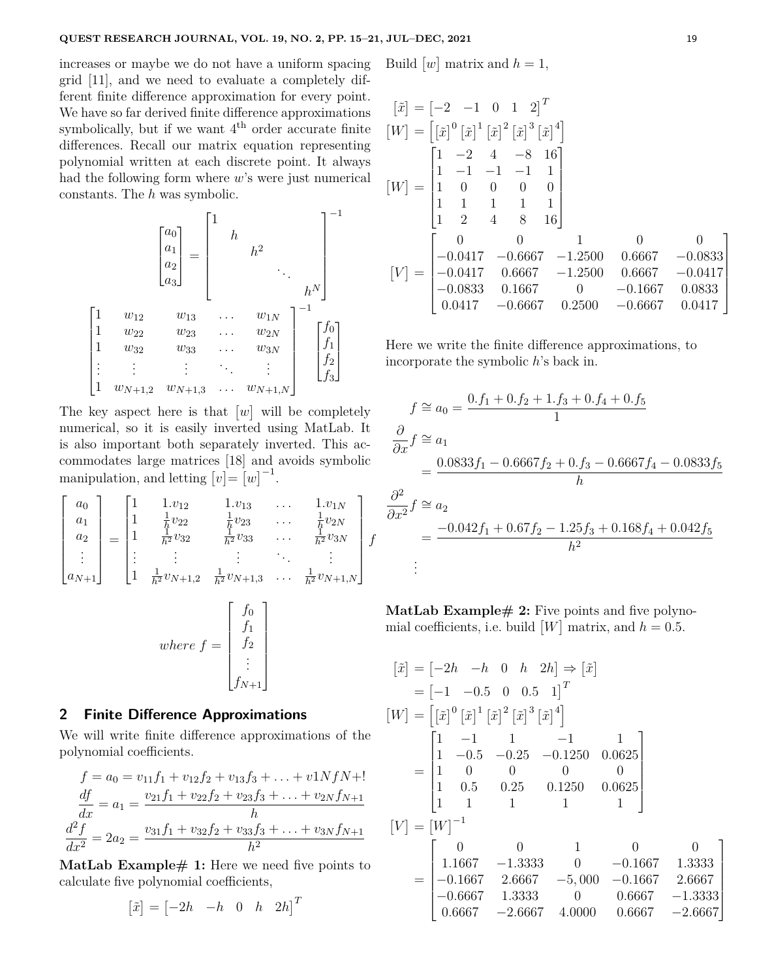increases or maybe we do not have a uniform spacing grid [11], and we need to evaluate a completely different finite difference approximation for every point. We have so far derived finite difference approximations symbolically, but if we want  $4<sup>th</sup>$  order accurate finite differences. Recall our matrix equation representing polynomial written at each discrete point. It always had the following form where *w*'s were just numerical constants. The *h* was symbolic.

 *a*0 *a*1 *a*2 *a*3 = 1 *h h* 2 . . . *h N* −1 1 *w*<sup>12</sup> *w*<sup>13</sup> *. . . w*1*<sup>N</sup>* 1 *w*<sup>22</sup> *w*<sup>23</sup> *. . . w*2*<sup>N</sup>* 1 *w*<sup>32</sup> *w*<sup>33</sup> *. . . w*3*<sup>N</sup>* . . . . . . . . . . . . . . . 1 *wN*+1*,*<sup>2</sup> *wN*+1*,*<sup>3</sup> *. . . wN*+1*,N* −1 *f*0 *f*1 *f*2 *f*3 

The key aspect here is that  $[w]$  will be completely numerical, so it is easily inverted using MatLab. It is also important both separately inverted. This accommodates large matrices [18] and avoids symbolic manipulation, and letting  $[v] = [w]^{-1}$ .

$$
\begin{bmatrix}\na_0 \\
a_1 \\
a_2 \\
\vdots \\
a_{N+1}\n\end{bmatrix} = \begin{bmatrix}\n1 & 1. v_{12} & 1. v_{13} & \dots & 1. v_{1N} \\
1 & \frac{1}{h} v_{22} & \frac{1}{h} v_{23} & \dots & \frac{1}{h} v_{2N} \\
1 & \frac{1}{h^2} v_{32} & \frac{1}{h^2} v_{33} & \dots & \frac{1}{h^2} v_{3N} \\
\vdots & \vdots & \vdots & \ddots & \vdots \\
1 & \frac{1}{h^2} v_{N+1,2} & \frac{1}{h^2} v_{N+1,3} & \dots & \frac{1}{h^2} v_{N+1,N}\n\end{bmatrix} f
$$
\nwhere  $f = \begin{bmatrix}\nf_0 \\
f_1 \\
f_2 \\
\vdots \\
f_{N+1}\n\end{bmatrix}$ 

#### **2 Finite Difference Approximations**

We will write finite difference approximations of the polynomial coefficients.

$$
f = a_0 = v_{11}f_1 + v_{12}f_2 + v_{13}f_3 + \dots + v_{1N}f_N + 1
$$
  
\n
$$
\frac{df}{dx} = a_1 = \frac{v_{21}f_1 + v_{22}f_2 + v_{23}f_3 + \dots + v_{2N}f_{N+1}}{h}
$$
  
\n
$$
\frac{d^2f}{dx^2} = 2a_2 = \frac{v_{31}f_1 + v_{32}f_2 + v_{33}f_3 + \dots + v_{3N}f_{N+1}}{h^2}
$$

**MatLab Example# 1:** Here we need five points to calculate five polynomial coefficients,

$$
\begin{bmatrix} \tilde{x} \end{bmatrix} = \begin{bmatrix} -2h & -h & 0 & h & 2h \end{bmatrix}^T
$$

Build  $[w]$  matrix and  $h = 1$ ,

$$
\begin{aligned}\n[\tilde{x}] &= \begin{bmatrix} -2 & -1 & 0 & 1 & 2 \end{bmatrix}^T \\
[W] &= \begin{bmatrix} [\tilde{x}]^0 [\tilde{x}]^1 [\tilde{x}]^2 [\tilde{x}]^3 [\tilde{x}]^4 \end{bmatrix} \\
[W] &= \begin{bmatrix} 1 & -2 & 4 & -8 & 16 \\
1 & -1 & -1 & -1 & 1 \\
1 & 0 & 0 & 0 & 0 \\
1 & 1 & 1 & 1 & 1 \\
1 & 2 & 4 & 8 & 16 \end{bmatrix} \\
[V] &= \begin{bmatrix} 0 & 0 & 1 & 0 & 0 \\
-0.0417 & -0.6667 & -1.2500 & 0.6667 & -0.0833 \\
-0.0417 & 0.6667 & -1.2500 & 0.6667 & -0.0417 \\
-0.0833 & 0.1667 & 0 & -0.1667 & 0.0833 \\
0.0417 & -0.6667 & 0.2500 & -0.6667 & 0.0417 \end{bmatrix}\n\end{aligned}
$$

Here we write the finite difference approximations, to incorporate the symbolic *h*'s back in.

$$
f \approx a_0 = \frac{0 \cdot f_1 + 0 \cdot f_2 + 1 \cdot f_3 + 0 \cdot f_4 + 0 \cdot f_5}{1}
$$
  
\n
$$
\frac{\partial}{\partial x} f \approx a_1
$$
  
\n
$$
= \frac{0.0833 f_1 - 0.6667 f_2 + 0 \cdot f_3 - 0.6667 f_4 - 0.0833 f_5}{h}
$$
  
\n
$$
\frac{\partial^2}{\partial x^2} f \approx a_2
$$
  
\n
$$
= \frac{-0.042 f_1 + 0.67 f_2 - 1.25 f_3 + 0.168 f_4 + 0.042 f_5}{h^2}
$$
  
\n
$$
\vdots
$$

**MatLab Example# 2:** Five points and five polynomial coefficients, i.e. build  $[W]$  matrix, and  $h = 0.5$ .

$$
[\tilde{x}] = [-2h \quad -h \quad 0 \quad h \quad 2h] \Rightarrow [\tilde{x}]
$$
  
\n
$$
= [-1 \quad -0.5 \quad 0 \quad 0.5 \quad 1]^T
$$
  
\n
$$
[W] = [[\tilde{x}]^0 [\tilde{x}]^1 [\tilde{x}]^2 [\tilde{x}]^3 [\tilde{x}]^4]
$$
  
\n
$$
= \begin{bmatrix} 1 & -1 & 1 & -1 & 1 \\ 1 & -0.5 & -0.25 & -0.1250 & 0.0625 \\ 1 & 0 & 0 & 0 & 0 \\ 1 & 0.5 & 0.25 & 0.1250 & 0.0625 \\ 1 & 1 & 1 & 1 & 1 \end{bmatrix}
$$
  
\n
$$
[V] = [W]^{-1}
$$
  
\n
$$
= \begin{bmatrix} 0 & 0 & 1 & 0 & 0 \\ 1.1667 & -1.3333 & 0 & -0.1667 & 1.3333 \\ -0.1667 & 2.6667 & -5,000 & -0.1667 & 2.6667 \\ -0.6667 & 1.3333 & 0 & 0.6667 & -1.3333 \\ 0.6667 & -2.6667 & 4.0000 & 0.6667 & -2.6667 \end{bmatrix}
$$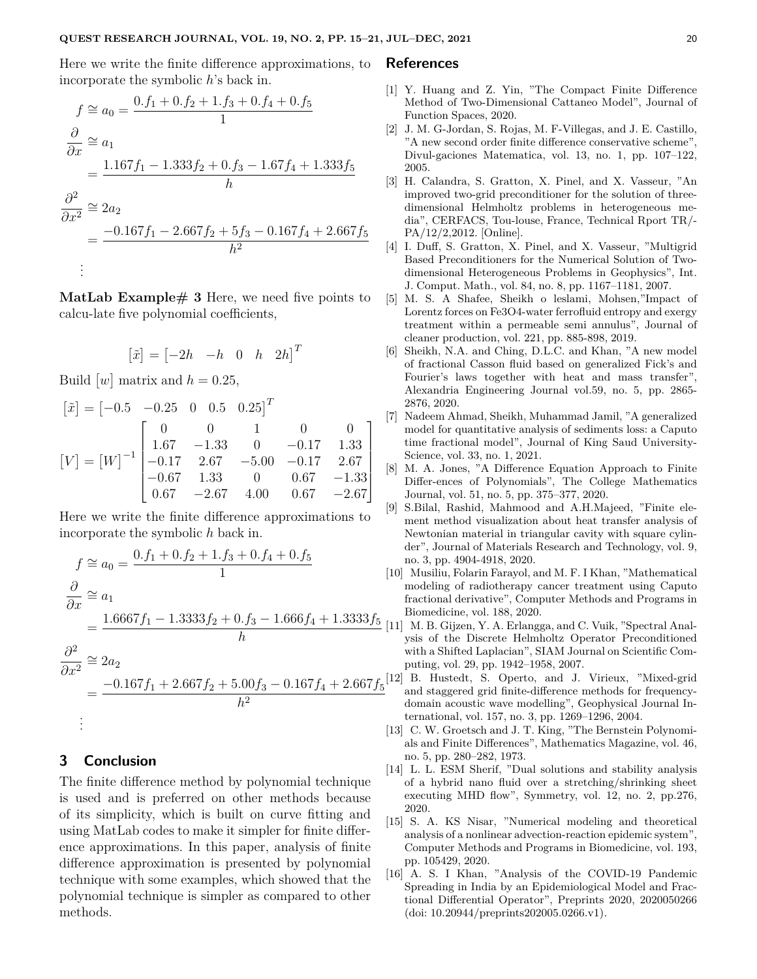Here we write the finite difference approximations, to incorporate the symbolic *h*'s back in.

$$
f \approx a_0 = \frac{0 \cdot f_1 + 0 \cdot f_2 + 1 \cdot f_3 + 0 \cdot f_4 + 0 \cdot f_5}{1}
$$
  
\n
$$
\frac{\partial}{\partial x} \approx a_1
$$
  
\n
$$
= \frac{1.167 f_1 - 1.333 f_2 + 0 \cdot f_3 - 1.67 f_4 + 1.333 f_5}{h}
$$
  
\n
$$
\frac{\partial^2}{\partial x^2} \approx 2a_2
$$
  
\n
$$
= \frac{-0.167 f_1 - 2.667 f_2 + 5 f_3 - 0.167 f_4 + 2.667 f_5}{h^2}
$$
  
\n:  
\n:

**MatLab Example# 3** Here, we need five points to calcu-late five polynomial coefficients,

$$
\begin{bmatrix} \tilde{x} \end{bmatrix} = \begin{bmatrix} -2h & -h & 0 & h & 2h \end{bmatrix}^T
$$

Build  $[w]$  matrix and  $h = 0.25$ ,

$$
\begin{bmatrix} \tilde{x} \end{bmatrix} = \begin{bmatrix} -0.5 & -0.25 & 0 & 0.5 & 0.25 \end{bmatrix}^T
$$

$$
\begin{bmatrix} V \end{bmatrix} = \begin{bmatrix} W \end{bmatrix}^{-1} \begin{bmatrix} 0 & 0 & 1 & 0 & 0 \\ 1.67 & -1.33 & 0 & -0.17 & 1.33 \\ -0.17 & 2.67 & -5.00 & -0.17 & 2.67 \\ -0.67 & 1.33 & 0 & 0.67 & -1.33 \\ 0.67 & -2.67 & 4.00 & 0.67 & -2.67 \end{bmatrix}
$$

Here we write the finite difference approximations to incorporate the symbolic *h* back in.

$$
f \approx a_0 = \frac{0 \cdot f_1 + 0 \cdot f_2 + 1 \cdot f_3 + 0 \cdot f_4 + 0 \cdot f_5}{1}
$$
\n
$$
\frac{\partial}{\partial x} \approx a_1
$$
\n
$$
= \frac{1.6667 f_1 - 1.3333 f_2 + 0 \cdot f_3 - 1.666 f_4 + 1.3333 f_5}{h}
$$
\n
$$
\frac{\partial^2}{\partial x^2} \approx 2a_2
$$
\n
$$
= \frac{-0.167 f_1 + 2.667 f_2 + 5.00 f_3 - 0.167 f_4 + 2.667 f_5}{h^2}
$$
\n
$$
\vdots
$$

### **3 Conclusion**

The finite difference method by polynomial technique is used and is preferred on other methods because of its simplicity, which is built on curve fitting and using MatLab codes to make it simpler for finite difference approximations. In this paper, analysis of finite difference approximation is presented by polynomial technique with some examples, which showed that the polynomial technique is simpler as compared to other methods.

#### **References**

- [1] Y. Huang and Z. Yin, "The Compact Finite Difference Method of Two-Dimensional Cattaneo Model", Journal of Function Spaces, 2020.
- [2] J. M. G-Jordan, S. Rojas, M. F-Villegas, and J. E. Castillo, "A new second order finite difference conservative scheme", Divul-gaciones Matematica, vol. 13, no. 1, pp. 107–122, 2005.
- [3] H. Calandra, S. Gratton, X. Pinel, and X. Vasseur, "An improved two-grid preconditioner for the solution of threedimensional Helmholtz problems in heterogeneous media", CERFACS, Tou-louse, France, Technical Rport TR/- PA/12/2,2012. [Online].
- [4] I. Duff, S. Gratton, X. Pinel, and X. Vasseur, "Multigrid Based Preconditioners for the Numerical Solution of Twodimensional Heterogeneous Problems in Geophysics", Int. J. Comput. Math., vol. 84, no. 8, pp. 1167–1181, 2007.
- [5] M. S. A Shafee, Sheikh o leslami, Mohsen,"Impact of Lorentz forces on Fe3O4-water ferrofluid entropy and exergy treatment within a permeable semi annulus", Journal of cleaner production, vol. 221, pp. 885-898, 2019.
- [6] Sheikh, N.A. and Ching, D.L.C. and Khan, "A new model of fractional Casson fluid based on generalized Fick's and Fourier's laws together with heat and mass transfer", Alexandria Engineering Journal vol.59, no. 5, pp. 2865- 2876, 2020.
- [7] Nadeem Ahmad, Sheikh, Muhammad Jamil, "A generalized model for quantitative analysis of sediments loss: a Caputo time fractional model", Journal of King Saud University-Science, vol. 33, no. 1, 2021.
- [8] M. A. Jones, "A Difference Equation Approach to Finite Differ-ences of Polynomials", The College Mathematics Journal, vol. 51, no. 5, pp. 375–377, 2020.
- [9] S.Bilal, Rashid, Mahmood and A.H.Majeed, "Finite element method visualization about heat transfer analysis of Newtonian material in triangular cavity with square cylinder", Journal of Materials Research and Technology, vol. 9, no. 3, pp. 4904-4918, 2020.
- [10] Musiliu, Folarin Farayol, and M. F. I Khan, "Mathematical modeling of radiotherapy cancer treatment using Caputo fractional derivative", Computer Methods and Programs in Biomedicine, vol. 188, 2020.
- [11] M. B. Gijzen, Y. A. Erlangga, and C. Vuik, "Spectral Analysis of the Discrete Helmholtz Operator Preconditioned with a Shifted Laplacian", SIAM Journal on Scientific Computing, vol. 29, pp. 1942–1958, 2007.
- [12] B. Hustedt, S. Operto, and J. Virieux, "Mixed-grid and staggered grid finite-difference methods for frequencydomain acoustic wave modelling", Geophysical Journal International, vol. 157, no. 3, pp. 1269–1296, 2004.
- [13] C. W. Groetsch and J. T. King, "The Bernstein Polynomials and Finite Differences", Mathematics Magazine, vol. 46, no. 5, pp. 280–282, 1973.
- [14] L. L. ESM Sherif, "Dual solutions and stability analysis of a hybrid nano fluid over a stretching/shrinking sheet executing MHD flow", Symmetry, vol. 12, no. 2, pp.276, 2020.
- [15] S. A. KS Nisar, "Numerical modeling and theoretical analysis of a nonlinear advection-reaction epidemic system", Computer Methods and Programs in Biomedicine, vol. 193, pp. 105429, 2020.
- [16] A. S. I Khan, "Analysis of the COVID-19 Pandemic Spreading in India by an Epidemiological Model and Fractional Differential Operator", Preprints 2020, 2020050266 (doi: 10.20944/preprints202005.0266.v1).